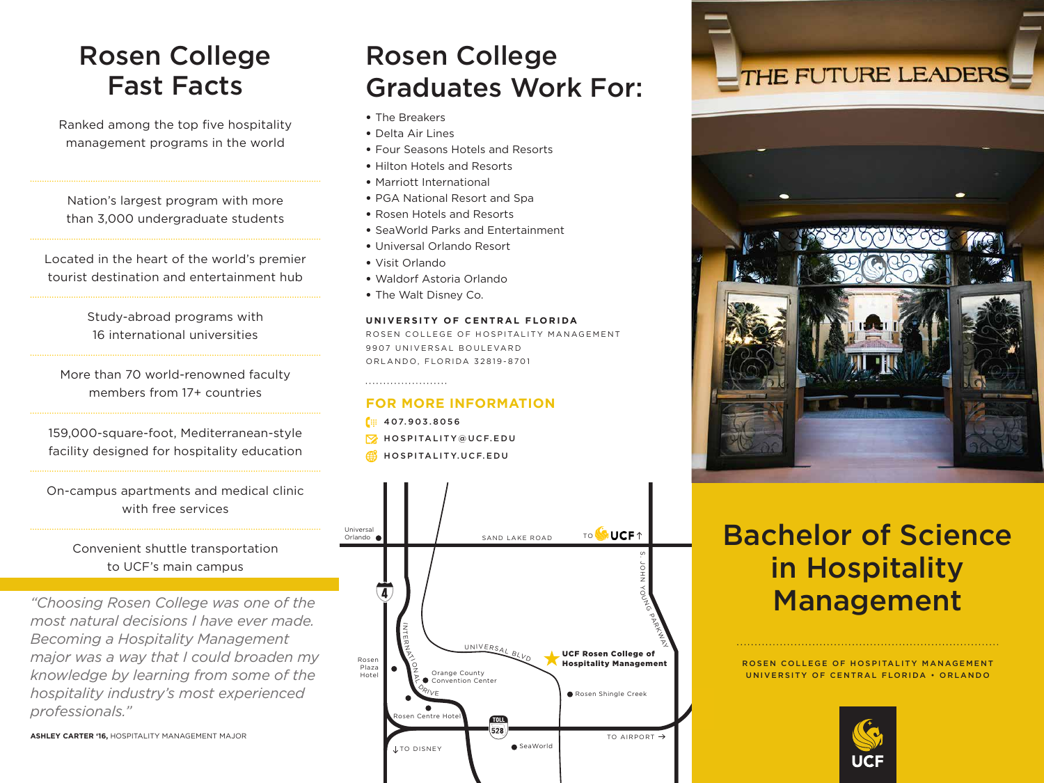### Rosen College Fast Facts

Ranked among the top five hospitality management programs in the world

Nation's largest program with more than 3,000 undergraduate students

Located in the heart of the world's premier tourist destination and entertainment hub

> Study-abroad programs with 16 international universities

More than 70 world-renowned faculty members from 17+ countries

159,000-square-foot, Mediterranean-style facility designed for hospitality education

On-campus apartments and medical clinic with free services

#### Convenient shuttle transportation to UCF's main campus

*"Choosing Rosen College was one of the most natural decisions I have ever made. Becoming a Hospitality Management major was a way that I could broaden my knowledge by learning from some of the hospitality industry's most experienced professionals."*

**ASHLEY CARTER '16,** HOSPITALITY MANAGEMENT MAJOR

### Rosen College Graduates Work For:

- The Breakers
- Delta Air Lines
- Four Seasons Hotels and Resorts
- Hilton Hotels and Resorts
- Marriott International
- PGA National Resort and Spa
- Rosen Hotels and Resorts
- SeaWorld Parks and Entertainment
- Universal Orlando Resort
- Visit Orlando
- Waldorf Astoria Orlando
- The Walt Disney Co.

#### **UNIVERSITY OF CENTRAL FLORIDA**

ROSEN COLLEGE OF HOSPITALITY MANAGEMENT 9907 UNIVERSAL BOULEVARD ORLANDO, FLORIDA 32819-8701

#### **FOR MORE INFORMATION**

- [# 407.903.8056
- **W** HOSPITALITY@UCF.EDU
- **HOSPITALITY.UCF.EDU**







# Bachelor of Science in Hospitality Management

ROSEN COLLEGE OF HOSPITALITY MANAGEMENT UNIVERSITY OF CENTRAL FLORIDA • ORLANDO